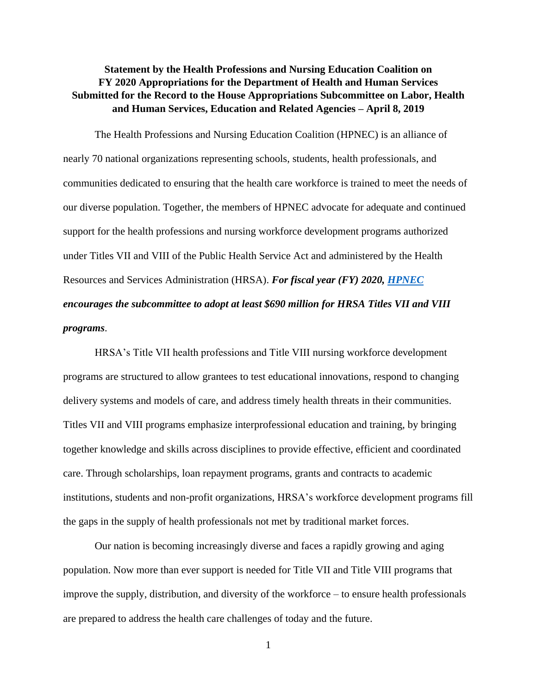## **Statement by the Health Professions and Nursing Education Coalition on FY 2020 Appropriations for the Department of Health and Human Services Submitted for the Record to the House Appropriations Subcommittee on Labor, Health and Human Services, Education and Related Agencies – April 8, 2019**

The Health Professions and Nursing Education Coalition (HPNEC) is an alliance of nearly 70 national organizations representing schools, students, health professionals, and communities dedicated to ensuring that the health care workforce is trained to meet the needs of our diverse population. Together, the members of HPNEC advocate for adequate and continued support for the health professions and nursing workforce development programs authorized under Titles VII and VIII of the Public Health Service Act and administered by the Health Resources and Services Administration (HRSA). *For fiscal year (FY) 2020, [HPNEC](https://www.aamc.org/advocacy/hpnec/fy2020/hpnec-2020-health-professions-education-programs.pdf) encourages the subcommittee to adopt at least \$690 million for HRSA Titles VII and VIII programs*.

HRSA's Title VII health professions and Title VIII nursing workforce development programs are structured to allow grantees to test educational innovations, respond to changing delivery systems and models of care, and address timely health threats in their communities. Titles VII and VIII programs emphasize interprofessional education and training, by bringing together knowledge and skills across disciplines to provide effective, efficient and coordinated care. Through scholarships, loan repayment programs, grants and contracts to academic institutions, students and non-profit organizations, HRSA's workforce development programs fill the gaps in the supply of health professionals not met by traditional market forces.

Our nation is becoming increasingly diverse and faces a rapidly growing and aging population. Now more than ever support is needed for Title VII and Title VIII programs that improve the supply, distribution, and diversity of the workforce – to ensure health professionals are prepared to address the health care challenges of today and the future.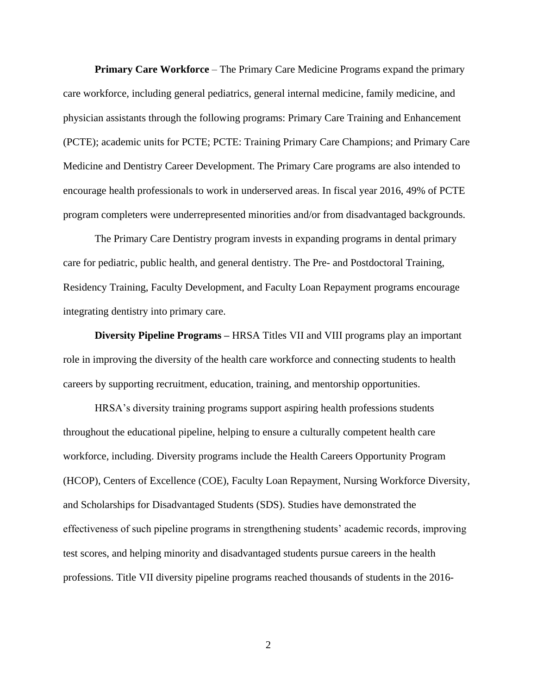**Primary Care Workforce** – The Primary Care Medicine Programs expand the primary care workforce, including general pediatrics, general internal medicine, family medicine, and physician assistants through the following programs: Primary Care Training and Enhancement (PCTE); academic units for PCTE; PCTE: Training Primary Care Champions; and Primary Care Medicine and Dentistry Career Development. The Primary Care programs are also intended to encourage health professionals to work in underserved areas. In fiscal year 2016, 49% of PCTE program completers were underrepresented minorities and/or from disadvantaged backgrounds.

The Primary Care Dentistry program invests in expanding programs in dental primary care for pediatric, public health, and general dentistry. The Pre- and Postdoctoral Training, Residency Training, Faculty Development, and Faculty Loan Repayment programs encourage integrating dentistry into primary care.

**Diversity Pipeline Programs –** HRSA Titles VII and VIII programs play an important role in improving the diversity of the health care workforce and connecting students to health careers by supporting recruitment, education, training, and mentorship opportunities.

HRSA's diversity training programs support aspiring health professions students throughout the educational pipeline, helping to ensure a culturally competent health care workforce, including. Diversity programs include the Health Careers Opportunity Program (HCOP), Centers of Excellence (COE), Faculty Loan Repayment, Nursing Workforce Diversity, and Scholarships for Disadvantaged Students (SDS). Studies have demonstrated the effectiveness of such pipeline programs in strengthening students' academic records, improving test scores, and helping minority and disadvantaged students pursue careers in the health professions. Title VII diversity pipeline programs reached thousands of students in the 2016-

2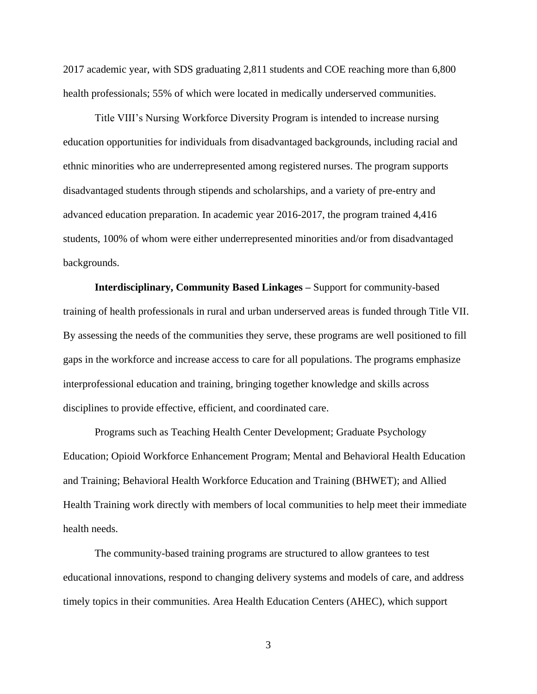2017 academic year, with SDS graduating 2,811 students and COE reaching more than 6,800 health professionals; 55% of which were located in medically underserved communities.

Title VIII's Nursing Workforce Diversity Program is intended to increase nursing education opportunities for individuals from disadvantaged backgrounds, including racial and ethnic minorities who are underrepresented among registered nurses. The program supports disadvantaged students through stipends and scholarships, and a variety of pre-entry and advanced education preparation. In academic year 2016-2017, the program trained 4,416 students, 100% of whom were either underrepresented minorities and/or from disadvantaged backgrounds.

**Interdisciplinary, Community Based Linkages –** Support for community-based training of health professionals in rural and urban underserved areas is funded through Title VII. By assessing the needs of the communities they serve, these programs are well positioned to fill gaps in the workforce and increase access to care for all populations. The programs emphasize interprofessional education and training, bringing together knowledge and skills across disciplines to provide effective, efficient, and coordinated care.

Programs such as Teaching Health Center Development; Graduate Psychology Education; Opioid Workforce Enhancement Program; Mental and Behavioral Health Education and Training; Behavioral Health Workforce Education and Training (BHWET); and Allied Health Training work directly with members of local communities to help meet their immediate health needs.

The community-based training programs are structured to allow grantees to test educational innovations, respond to changing delivery systems and models of care, and address timely topics in their communities. Area Health Education Centers (AHEC), which support

3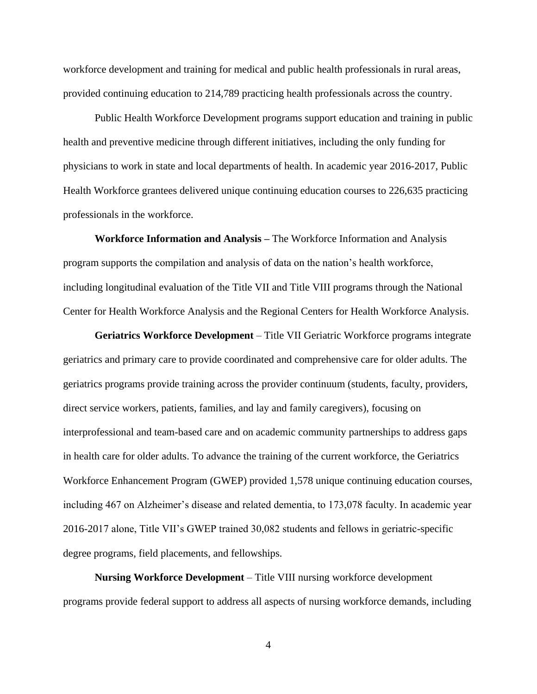workforce development and training for medical and public health professionals in rural areas, provided continuing education to 214,789 practicing health professionals across the country.

Public Health Workforce Development programs support education and training in public health and preventive medicine through different initiatives, including the only funding for physicians to work in state and local departments of health. In academic year 2016-2017, Public Health Workforce grantees delivered unique continuing education courses to 226,635 practicing professionals in the workforce.

**Workforce Information and Analysis –** The Workforce Information and Analysis program supports the compilation and analysis of data on the nation's health workforce, including longitudinal evaluation of the Title VII and Title VIII programs through the National Center for Health Workforce Analysis and the Regional Centers for Health Workforce Analysis.

**Geriatrics Workforce Development** – Title VII Geriatric Workforce programs integrate geriatrics and primary care to provide coordinated and comprehensive care for older adults. The geriatrics programs provide training across the provider continuum (students, faculty, providers, direct service workers, patients, families, and lay and family caregivers), focusing on interprofessional and team-based care and on academic community partnerships to address gaps in health care for older adults. To advance the training of the current workforce, the Geriatrics Workforce Enhancement Program (GWEP) provided 1,578 unique continuing education courses, including 467 on Alzheimer's disease and related dementia, to 173,078 faculty. In academic year 2016-2017 alone, Title VII's GWEP trained 30,082 students and fellows in geriatric-specific degree programs, field placements, and fellowships.

**Nursing Workforce Development** – Title VIII nursing workforce development programs provide federal support to address all aspects of nursing workforce demands, including

4